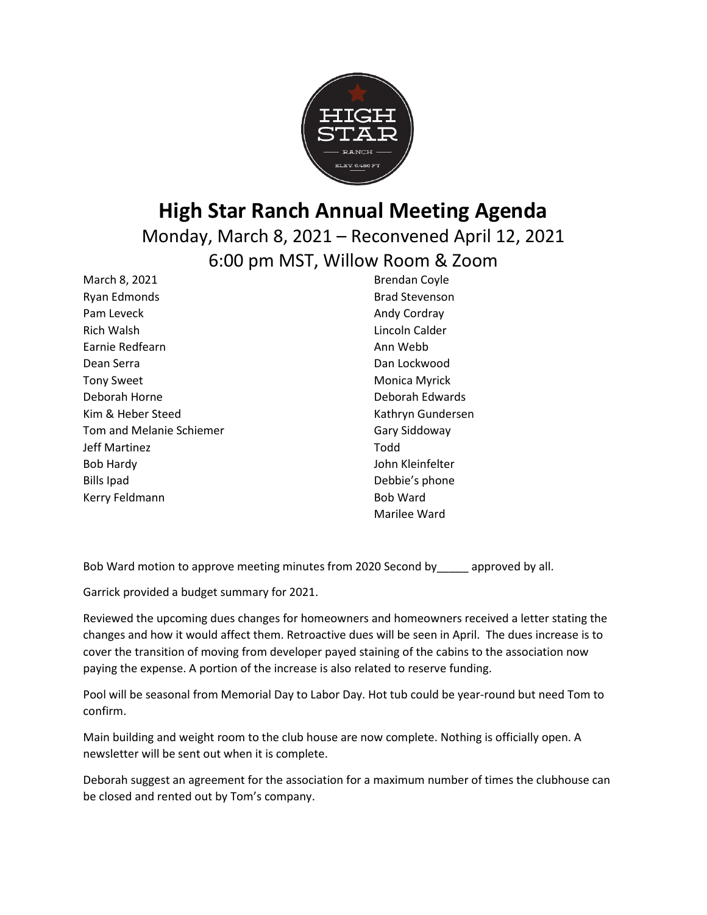

# **High Star Ranch Annual Meeting Agenda**

Monday, March 8, 2021 – Reconvened April 12, 2021 6:00 pm MST, Willow Room & Zoom

March 8, 2021 Ryan Edmonds Pam Leveck Rich Walsh Earnie Redfearn Dean Serra Tony Sweet Deborah Horne Kim & Heber Steed Tom and Melanie Schiemer Jeff Martinez Bob Hardy Bills Ipad Kerry Feldmann

Brendan Coyle Brad Stevenson Andy Cordray Lincoln Calder Ann Webb Dan Lockwood Monica Myrick Deborah Edwards Kathryn Gundersen Gary Siddoway Todd John Kleinfelter Debbie's phone Bob Ward Marilee Ward

Bob Ward motion to approve meeting minutes from 2020 Second by approved by all.

Garrick provided a budget summary for 2021.

Reviewed the upcoming dues changes for homeowners and homeowners received a letter stating the changes and how it would affect them. Retroactive dues will be seen in April. The dues increase is to cover the transition of moving from developer payed staining of the cabins to the association now paying the expense. A portion of the increase is also related to reserve funding.

Pool will be seasonal from Memorial Day to Labor Day. Hot tub could be year-round but need Tom to confirm.

Main building and weight room to the club house are now complete. Nothing is officially open. A newsletter will be sent out when it is complete.

Deborah suggest an agreement for the association for a maximum number of times the clubhouse can be closed and rented out by Tom's company.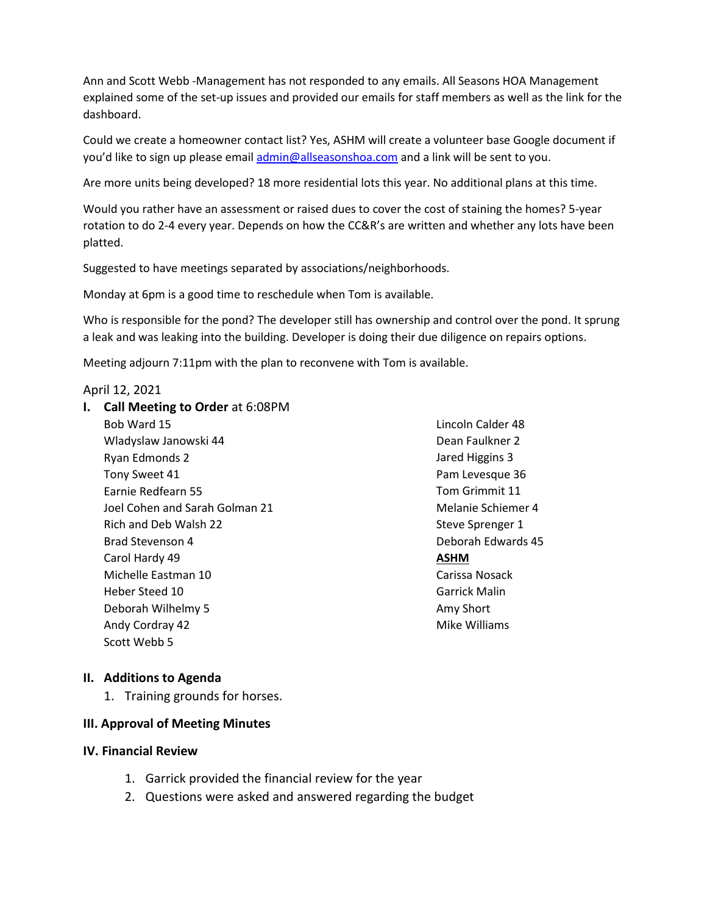Ann and Scott Webb -Management has not responded to any emails. All Seasons HOA Management explained some of the set-up issues and provided our emails for staff members as well as the link for the dashboard.

Could we create a homeowner contact list? Yes, ASHM will create a volunteer base Google document if you'd like to sign up please email [admin@allseasonshoa.com](mailto:admin@allseasonshoa.com) and a link will be sent to you.

Are more units being developed? 18 more residential lots this year. No additional plans at this time.

Would you rather have an assessment or raised dues to cover the cost of staining the homes? 5-year rotation to do 2-4 every year. Depends on how the CC&R's are written and whether any lots have been platted.

Suggested to have meetings separated by associations/neighborhoods.

Monday at 6pm is a good time to reschedule when Tom is available.

Who is responsible for the pond? The developer still has ownership and control over the pond. It sprung a leak and was leaking into the building. Developer is doing their due diligence on repairs options.

Meeting adjourn 7:11pm with the plan to reconvene with Tom is available.

#### April 12, 2021

**I. Call Meeting to Order** at 6:08PM Bob Ward 15 Wladyslaw Janowski 44 Ryan Edmonds 2 Tony Sweet 41 Earnie Redfearn 55 Joel Cohen and Sarah Golman 21 Rich and Deb Walsh 22 Brad Stevenson 4 Carol Hardy 49 Michelle Eastman 10 Heber Steed 10 Deborah Wilhelmy 5 Andy Cordray 42 Scott Webb 5

Lincoln Calder 48 Dean Faulkner 2 Jared Higgins 3 Pam Levesque 36 Tom Grimmit 11 Melanie Schiemer 4 Steve Sprenger 1 Deborah Edwards 45 **ASHM** Carissa Nosack Garrick Malin Amy Short Mike Williams

### **II. Additions to Agenda**

1. Training grounds for horses.

### **III. Approval of Meeting Minutes**

- **IV. Financial Review**
	- 1. Garrick provided the financial review for the year
	- 2. Questions were asked and answered regarding the budget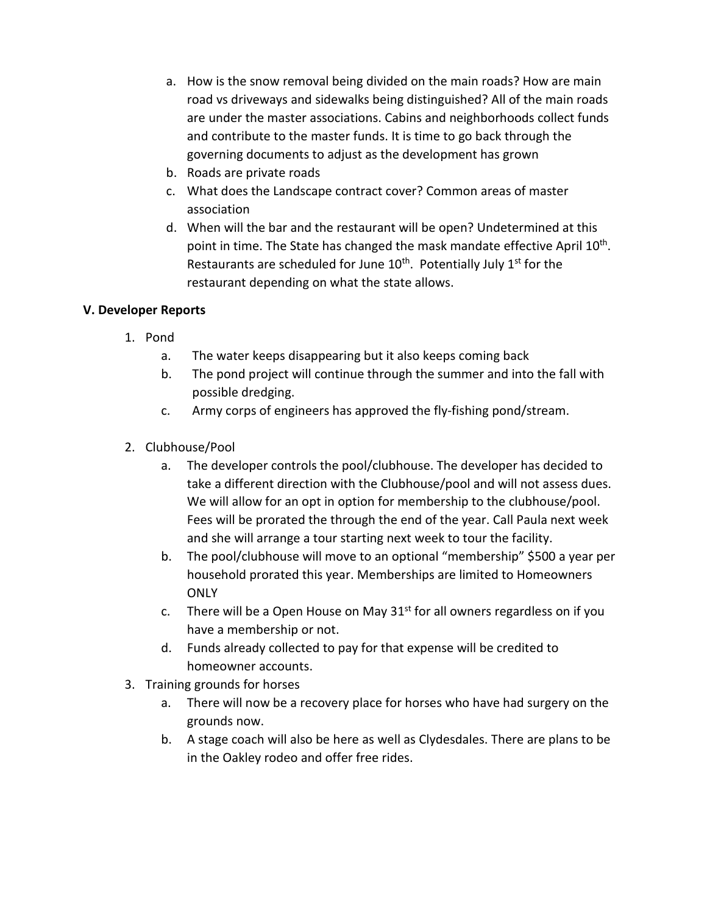- a. How is the snow removal being divided on the main roads? How are main road vs driveways and sidewalks being distinguished? All of the main roads are under the master associations. Cabins and neighborhoods collect funds and contribute to the master funds. It is time to go back through the governing documents to adjust as the development has grown
- b. Roads are private roads
- c. What does the Landscape contract cover? Common areas of master association
- d. When will the bar and the restaurant will be open? Undetermined at this point in time. The State has changed the mask mandate effective April 10<sup>th</sup>. Restaurants are scheduled for June  $10<sup>th</sup>$ . Potentially July  $1<sup>st</sup>$  for the restaurant depending on what the state allows.

## **V. Developer Reports**

- 1. Pond
	- a. The water keeps disappearing but it also keeps coming back
	- b. The pond project will continue through the summer and into the fall with possible dredging.
	- c. Army corps of engineers has approved the fly-fishing pond/stream.
- 2. Clubhouse/Pool
	- a. The developer controls the pool/clubhouse. The developer has decided to take a different direction with the Clubhouse/pool and will not assess dues. We will allow for an opt in option for membership to the clubhouse/pool. Fees will be prorated the through the end of the year. Call Paula next week and she will arrange a tour starting next week to tour the facility.
	- b. The pool/clubhouse will move to an optional "membership" \$500 a year per household prorated this year. Memberships are limited to Homeowners **ONLY**
	- c. There will be a Open House on May  $31<sup>st</sup>$  for all owners regardless on if you have a membership or not.
	- d. Funds already collected to pay for that expense will be credited to homeowner accounts.
- 3. Training grounds for horses
	- a. There will now be a recovery place for horses who have had surgery on the grounds now.
	- b. A stage coach will also be here as well as Clydesdales. There are plans to be in the Oakley rodeo and offer free rides.